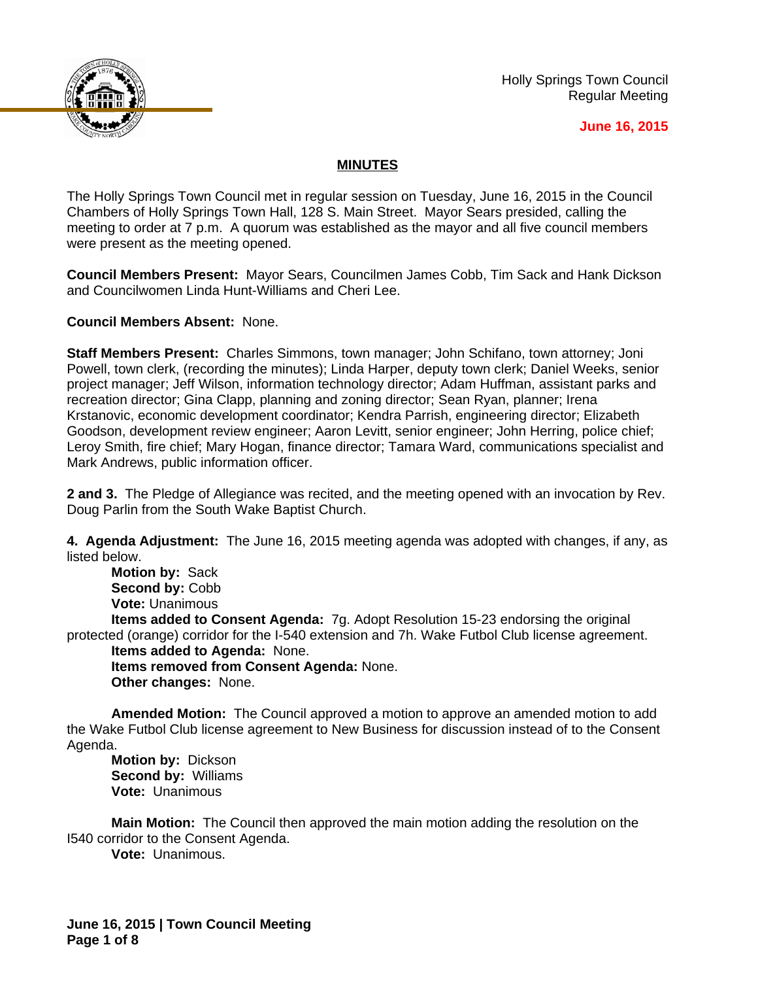

Holly Springs Town Council Regular Meeting

#### **June 16, 2015**

### **MINUTES**

The Holly Springs Town Council met in regular session on Tuesday, June 16, 2015 in the Council Chambers of Holly Springs Town Hall, 128 S. Main Street. Mayor Sears presided, calling the meeting to order at 7 p.m. A quorum was established as the mayor and all five council members were present as the meeting opened.

**Council Members Present:** Mayor Sears, Councilmen James Cobb, Tim Sack and Hank Dickson and Councilwomen Linda Hunt-Williams and Cheri Lee.

**Council Members Absent:** None.

**Staff Members Present:** Charles Simmons, town manager; John Schifano, town attorney; Joni Powell, town clerk, (recording the minutes); Linda Harper, deputy town clerk; Daniel Weeks, senior project manager; Jeff Wilson, information technology director; Adam Huffman, assistant parks and recreation director; Gina Clapp, planning and zoning director; Sean Ryan, planner; Irena Krstanovic, economic development coordinator; Kendra Parrish, engineering director; Elizabeth Goodson, development review engineer; Aaron Levitt, senior engineer; John Herring, police chief; Leroy Smith, fire chief; Mary Hogan, finance director; Tamara Ward, communications specialist and Mark Andrews, public information officer.

**2 and 3.** The Pledge of Allegiance was recited, and the meeting opened with an invocation by Rev. Doug Parlin from the South Wake Baptist Church.

**4. Agenda Adjustment:** The June 16, 2015 meeting agenda was adopted with changes, if any, as listed below.

**Motion by:** Sack Second by: Cobb **Vote:** Unanimous

**Items added to Consent Agenda:** 7g. Adopt Resolution 15-23 endorsing the original protected (orange) corridor for the I-540 extension and 7h. Wake Futbol Club license agreement.

**Items added to Agenda:** None. **Items removed from Consent Agenda:** None. **Other changes:** None.

**Amended Motion:** The Council approved a motion to approve an amended motion to add the Wake Futbol Club license agreement to New Business for discussion instead of to the Consent Agenda.

**Motion by:** Dickson **Second by:** Williams **Vote:** Unanimous

**Main Motion:** The Council then approved the main motion adding the resolution on the I540 corridor to the Consent Agenda.

**Vote:** Unanimous.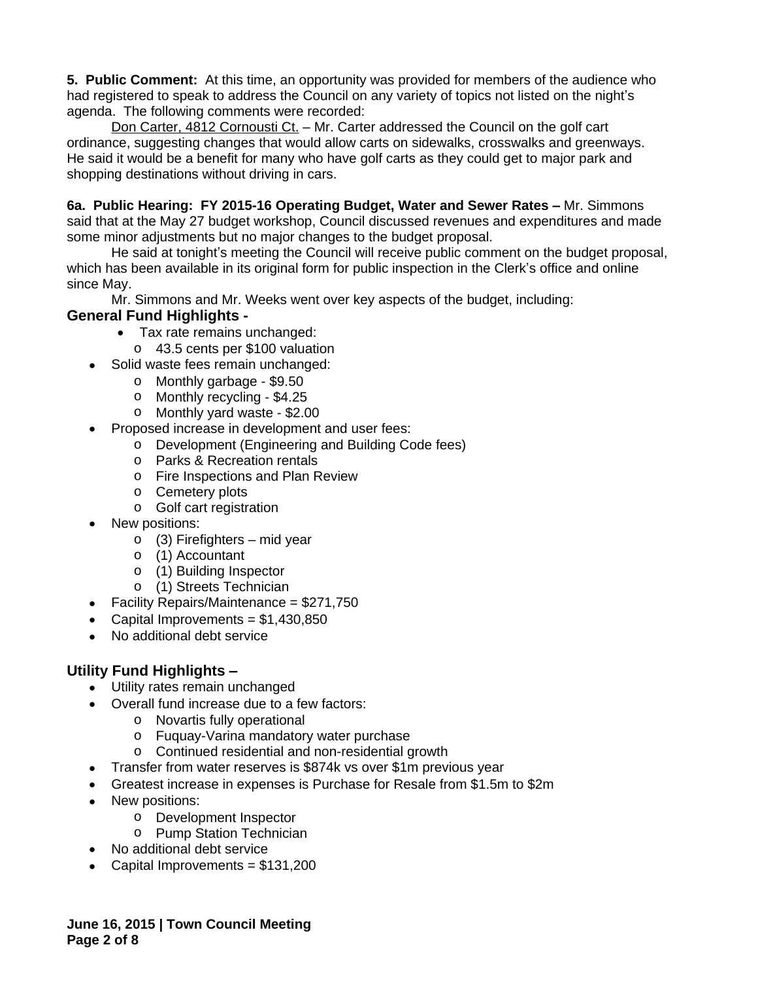**5. Public Comment:** At this time, an opportunity was provided for members of the audience who had registered to speak to address the Council on any variety of topics not listed on the night's agenda. The following comments were recorded:

Don Carter, 4812 Cornousti Ct. – Mr. Carter addressed the Council on the golf cart ordinance, suggesting changes that would allow carts on sidewalks, crosswalks and greenways. He said it would be a benefit for many who have golf carts as they could get to major park and shopping destinations without driving in cars.

**6a. Public Hearing: FY 2015-16 Operating Budget, Water and Sewer Rates – Mr. Simmons** said that at the May 27 budget workshop, Council discussed revenues and expenditures and made some minor adjustments but no major changes to the budget proposal.

He said at tonight's meeting the Council will receive public comment on the budget proposal, which has been available in its original form for public inspection in the Clerk's office and online since May.

Mr. Simmons and Mr. Weeks went over key aspects of the budget, including:

## **General Fund Highlights -**

- Tax rate remains unchanged:
	- o 43.5 cents per \$100 valuation
- Solid waste fees remain unchanged:
- o Monthly garbage \$9.50
	- o Monthly recycling \$4.25
	- o Monthly yard waste \$2.00
- Proposed increase in development and user fees:
	- o Development (Engineering and Building Code fees)
		- o Parks & Recreation rentals
		- o Fire Inspections and Plan Review
		- o Cemetery plots
		- o Golf cart registration
- New positions:
	- o (3) Firefighters mid year
	- o (1) Accountant
	- o (1) Building Inspector
	- o (1) Streets Technician
- Facility Repairs/Maintenance = \$271,750
- Capital Improvements =  $$1,430,850$
- No additional debt service

# **Utility Fund Highlights –**

- Utility rates remain unchanged
- Overall fund increase due to a few factors:
	- o Novartis fully operational
	- o Fuquay-Varina mandatory water purchase
	- o Continued residential and non-residential growth
- Transfer from water reserves is \$874k vs over \$1m previous year
- Greatest increase in expenses is Purchase for Resale from \$1.5m to \$2m
- New positions:
	- o Development Inspector
	- o Pump Station Technician
- No additional debt service
- Capital Improvements =  $$131,200$

**June 16, 2015 | Town Council Meeting Page 2 of 8**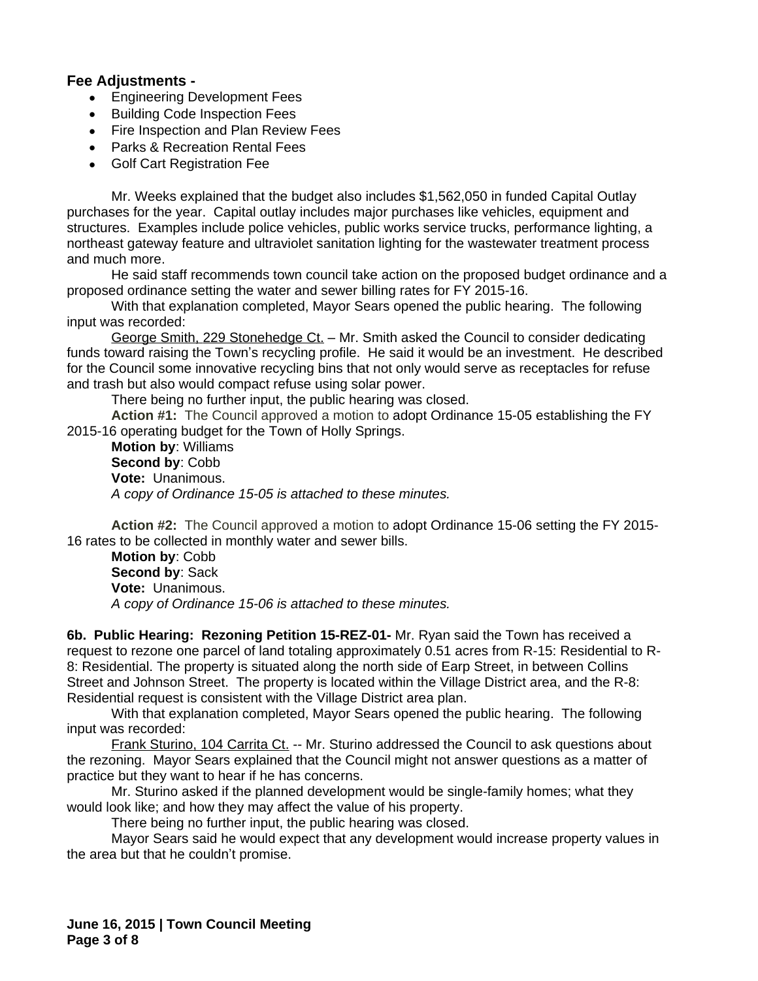### **Fee Adjustments -**

- **Engineering Development Fees**
- Building Code Inspection Fees
- Fire Inspection and Plan Review Fees
- Parks & Recreation Rental Fees
- Golf Cart Registration Fee

Mr. Weeks explained that the budget also includes \$1,562,050 in funded Capital Outlay purchases for the year. Capital outlay includes major purchases like vehicles, equipment and structures. Examples include police vehicles, public works service trucks, performance lighting, a northeast gateway feature and ultraviolet sanitation lighting for the wastewater treatment process and much more.

He said staff recommends town council take action on the proposed budget ordinance and a proposed ordinance setting the water and sewer billing rates for FY 2015-16.

With that explanation completed, Mayor Sears opened the public hearing. The following input was recorded:

George Smith, 229 Stonehedge Ct. - Mr. Smith asked the Council to consider dedicating funds toward raising the Town's recycling profile. He said it would be an investment. He described for the Council some innovative recycling bins that not only would serve as receptacles for refuse and trash but also would compact refuse using solar power.

There being no further input, the public hearing was closed.

**Action #1:** The Council approved a motion to adopt Ordinance 15-05 establishing the FY 2015-16 operating budget for the Town of Holly Springs.

**Motion by**: Williams **Second by**: Cobb **Vote:** Unanimous. *A copy of Ordinance 15-05 is attached to these minutes.*

**Action #2:** The Council approved a motion to adopt Ordinance 15-06 setting the FY 2015- 16 rates to be collected in monthly water and sewer bills.

**Motion by**: Cobb **Second by**: Sack **Vote:** Unanimous. *A copy of Ordinance 15-06 is attached to these minutes.*

**6b. Public Hearing: Rezoning Petition 15-REZ-01-** Mr. Ryan said the Town has received a request to rezone one parcel of land totaling approximately 0.51 acres from R-15: Residential to R-8: Residential. The property is situated along the north side of Earp Street, in between Collins Street and Johnson Street. The property is located within the Village District area, and the R-8: Residential request is consistent with the Village District area plan.

With that explanation completed, Mayor Sears opened the public hearing. The following input was recorded:

Frank Sturino, 104 Carrita Ct. -- Mr. Sturino addressed the Council to ask questions about the rezoning. Mayor Sears explained that the Council might not answer questions as a matter of practice but they want to hear if he has concerns.

Mr. Sturino asked if the planned development would be single-family homes; what they would look like; and how they may affect the value of his property.

There being no further input, the public hearing was closed.

Mayor Sears said he would expect that any development would increase property values in the area but that he couldn't promise.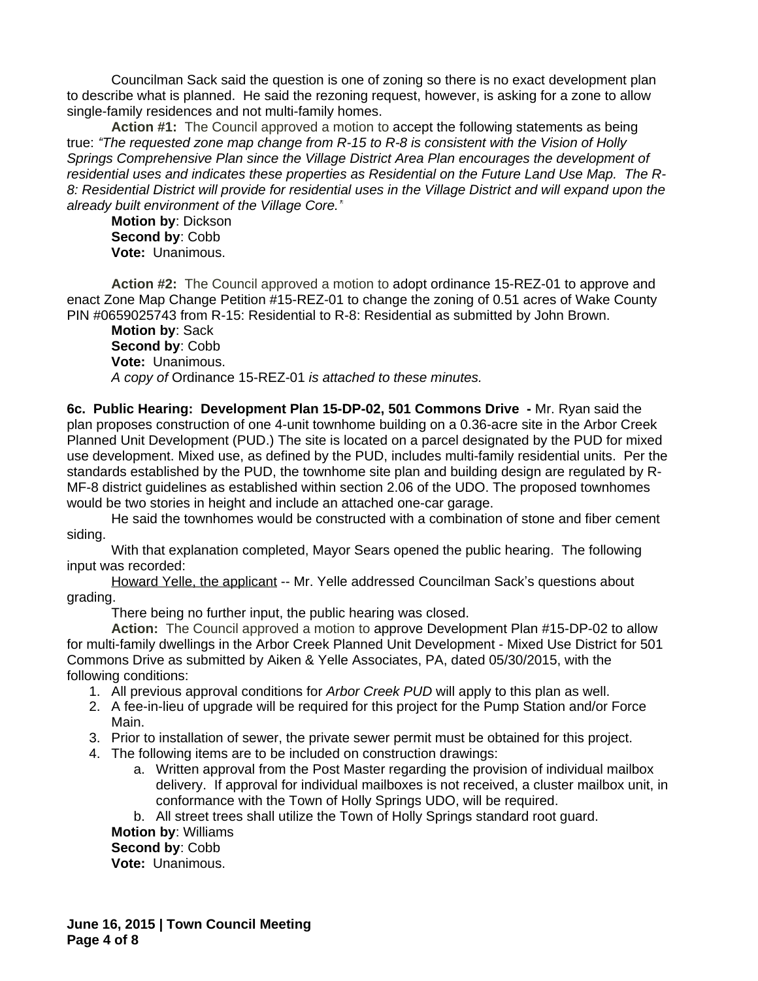Councilman Sack said the question is one of zoning so there is no exact development plan to describe what is planned. He said the rezoning request, however, is asking for a zone to allow single-family residences and not multi-family homes.

**Action #1:** The Council approved a motion to accept the following statements as being true: *"The requested zone map change from R-15 to R-8 is consistent with the Vision of Holly Springs Comprehensive Plan since the Village District Area Plan encourages the development of residential uses and indicates these properties as Residential on the Future Land Use Map. The R-8: Residential District will provide for residential uses in the Village District and will expand upon the already built environment of the Village Core."*

**Motion by**: Dickson **Second by**: Cobb **Vote:** Unanimous.

**Action #2:** The Council approved a motion to adopt ordinance 15-REZ-01 to approve and enact Zone Map Change Petition #15-REZ-01 to change the zoning of 0.51 acres of Wake County PIN #0659025743 from R-15: Residential to R-8: Residential as submitted by John Brown.

**Motion by**: Sack **Second by**: Cobb **Vote:** Unanimous. *A copy of* Ordinance 15-REZ-01 *is attached to these minutes.*

**6c. Public Hearing: Development Plan 15-DP-02, 501 Commons Drive -** Mr. Ryan said the plan proposes construction of one 4-unit townhome building on a 0.36-acre site in the Arbor Creek Planned Unit Development (PUD.) The site is located on a parcel designated by the PUD for mixed use development. Mixed use, as defined by the PUD, includes multi-family residential units. Per the standards established by the PUD, the townhome site plan and building design are regulated by R-MF-8 district guidelines as established within section 2.06 of the UDO. The proposed townhomes would be two stories in height and include an attached one-car garage.

He said the townhomes would be constructed with a combination of stone and fiber cement siding.

With that explanation completed, Mayor Sears opened the public hearing. The following input was recorded:

Howard Yelle, the applicant -- Mr. Yelle addressed Councilman Sack's questions about grading.

There being no further input, the public hearing was closed.

**Action:** The Council approved a motion to approve Development Plan #15-DP-02 to allow for multi-family dwellings in the Arbor Creek Planned Unit Development - Mixed Use District for 501 Commons Drive as submitted by Aiken & Yelle Associates, PA, dated 05/30/2015, with the following conditions:

- 1. All previous approval conditions for *Arbor Creek PUD* will apply to this plan as well.
- 2. A fee-in-lieu of upgrade will be required for this project for the Pump Station and/or Force Main.
- 3. Prior to installation of sewer, the private sewer permit must be obtained for this project.
- 4. The following items are to be included on construction drawings:
	- a. Written approval from the Post Master regarding the provision of individual mailbox delivery. If approval for individual mailboxes is not received, a cluster mailbox unit, in conformance with the Town of Holly Springs UDO, will be required.

b. All street trees shall utilize the Town of Holly Springs standard root guard.

**Motion by**: Williams **Second by**: Cobb **Vote:** Unanimous.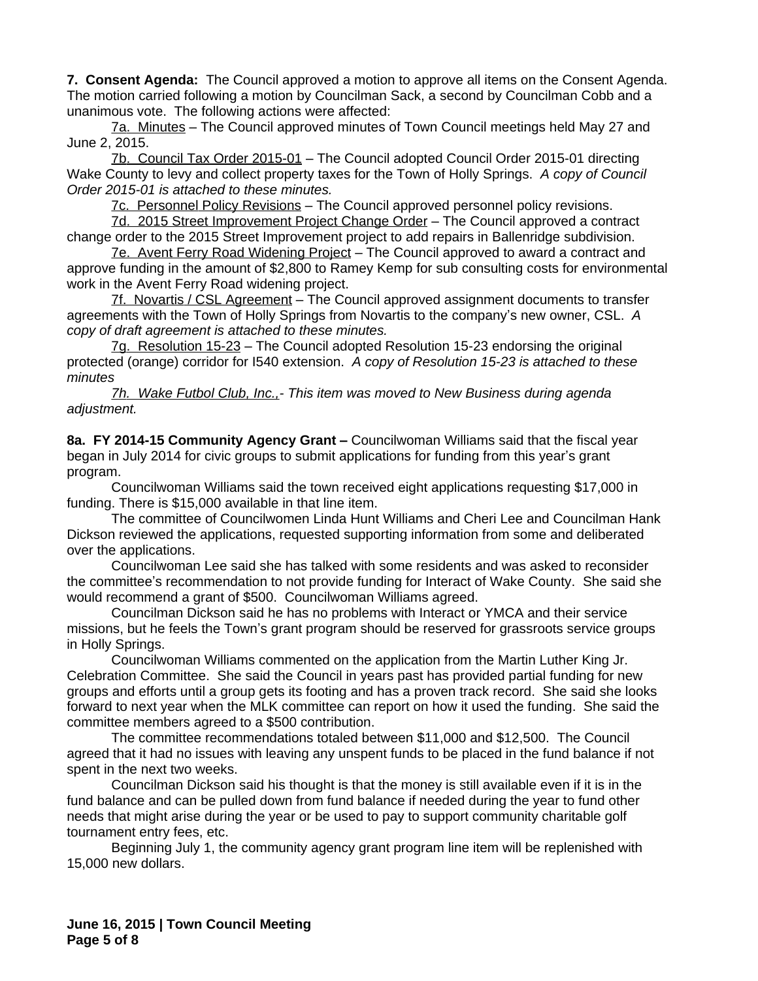**7. Consent Agenda:** The Council approved a motion to approve all items on the Consent Agenda. The motion carried following a motion by Councilman Sack, a second by Councilman Cobb and a unanimous vote. The following actions were affected:

7a. Minutes – The Council approved minutes of Town Council meetings held May 27 and June 2, 2015.

7b. Council Tax Order 2015-01 – The Council adopted Council Order 2015-01 directing Wake County to levy and collect property taxes for the Town of Holly Springs. *A copy of Council Order 2015-01 is attached to these minutes.*

7c. Personnel Policy Revisions – The Council approved personnel policy revisions.

7d. 2015 Street Improvement Project Change Order – The Council approved a contract change order to the 2015 Street Improvement project to add repairs in Ballenridge subdivision.

7e. Avent Ferry Road Widening Project – The Council approved to award a contract and approve funding in the amount of \$2,800 to Ramey Kemp for sub consulting costs for environmental work in the Avent Ferry Road widening project.

7f. Novartis / CSL Agreement - The Council approved assignment documents to transfer agreements with the Town of Holly Springs from Novartis to the company's new owner, CSL. *A copy of draft agreement is attached to these minutes.*

7g. Resolution 15-23 – The Council adopted Resolution 15-23 endorsing the original protected (orange) corridor for I540 extension. *A copy of Resolution 15-23 is attached to these minutes*

*7h. Wake Futbol Club, Inc.,- This item was moved to New Business during agenda adjustment.*

**8a. FY 2014-15 Community Agency Grant –** Councilwoman Williams said that the fiscal year began in July 2014 for civic groups to submit applications for funding from this year's grant program.

Councilwoman Williams said the town received eight applications requesting \$17,000 in funding. There is \$15,000 available in that line item.

The committee of Councilwomen Linda Hunt Williams and Cheri Lee and Councilman Hank Dickson reviewed the applications, requested supporting information from some and deliberated over the applications.

Councilwoman Lee said she has talked with some residents and was asked to reconsider the committee's recommendation to not provide funding for Interact of Wake County. She said she would recommend a grant of \$500. Councilwoman Williams agreed.

Councilman Dickson said he has no problems with Interact or YMCA and their service missions, but he feels the Town's grant program should be reserved for grassroots service groups in Holly Springs.

Councilwoman Williams commented on the application from the Martin Luther King Jr. Celebration Committee. She said the Council in years past has provided partial funding for new groups and efforts until a group gets its footing and has a proven track record. She said she looks forward to next year when the MLK committee can report on how it used the funding. She said the committee members agreed to a \$500 contribution.

The committee recommendations totaled between \$11,000 and \$12,500. The Council agreed that it had no issues with leaving any unspent funds to be placed in the fund balance if not spent in the next two weeks.

Councilman Dickson said his thought is that the money is still available even if it is in the fund balance and can be pulled down from fund balance if needed during the year to fund other needs that might arise during the year or be used to pay to support community charitable golf tournament entry fees, etc.

Beginning July 1, the community agency grant program line item will be replenished with 15,000 new dollars.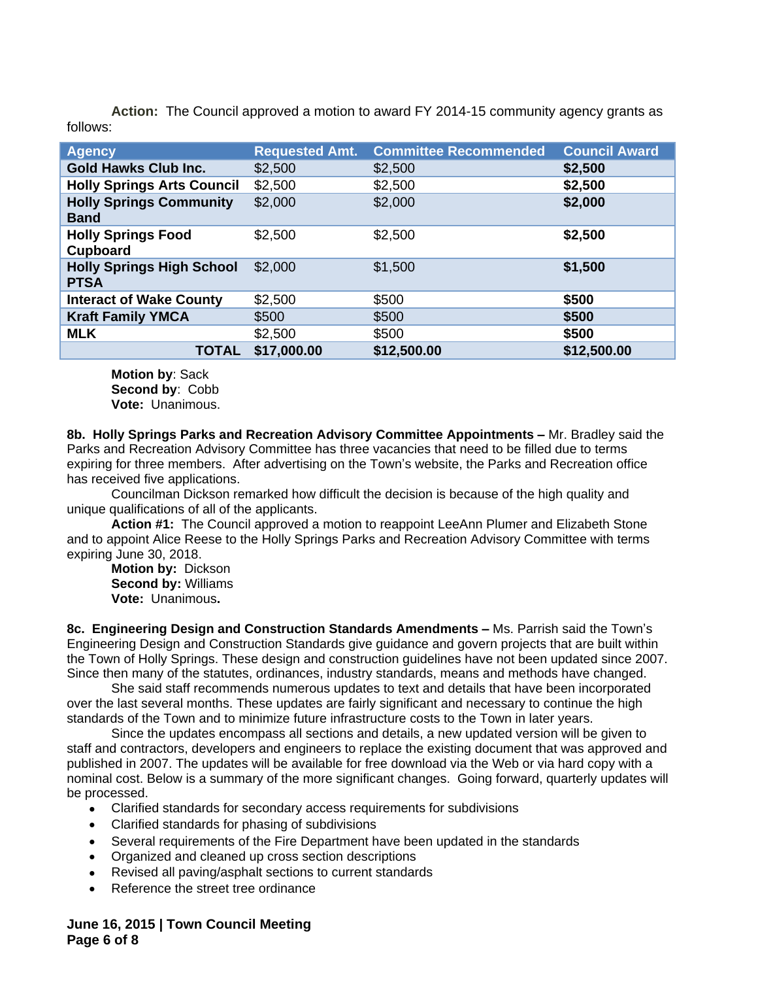**Action:** The Council approved a motion to award FY 2014-15 community agency grants as follows:

| <b>Agency</b>                                   | <b>Requested Amt.</b> | <b>Committee Recommended</b> | <b>Council Award</b> |
|-------------------------------------------------|-----------------------|------------------------------|----------------------|
| <b>Gold Hawks Club Inc.</b>                     | \$2,500               | \$2,500                      | \$2,500              |
| <b>Holly Springs Arts Council</b>               | \$2,500               | \$2,500                      | \$2,500              |
| <b>Holly Springs Community</b><br><b>Band</b>   | \$2,000               | \$2,000                      | \$2,000              |
| <b>Holly Springs Food</b><br>Cupboard           | \$2,500               | \$2,500                      | \$2,500              |
| <b>Holly Springs High School</b><br><b>PTSA</b> | \$2,000               | \$1,500                      | \$1,500              |
| <b>Interact of Wake County</b>                  | \$2,500               | \$500                        | \$500                |
| <b>Kraft Family YMCA</b>                        | \$500                 | \$500                        | \$500                |
| <b>MLK</b>                                      | \$2,500               | \$500                        | \$500                |
| <b>TOTAL</b>                                    | \$17,000.00           | \$12,500.00                  | \$12,500.00          |

**Motion by**: Sack **Second by**: Cobb **Vote:** Unanimous.

**8b. Holly Springs Parks and Recreation Advisory Committee Appointments –** Mr. Bradley said the Parks and Recreation Advisory Committee has three vacancies that need to be filled due to terms expiring for three members. After advertising on the Town's website, the Parks and Recreation office has received five applications.

Councilman Dickson remarked how difficult the decision is because of the high quality and unique qualifications of all of the applicants.

**Action #1:** The Council approved a motion to reappoint LeeAnn Plumer and Elizabeth Stone and to appoint Alice Reese to the Holly Springs Parks and Recreation Advisory Committee with terms expiring June 30, 2018.

**Motion by:** Dickson **Second by:** Williams **Vote:** Unanimous**.**

**8c. Engineering Design and Construction Standards Amendments –** Ms. Parrish said the Town's Engineering Design and Construction Standards give guidance and govern projects that are built within the Town of Holly Springs. These design and construction guidelines have not been updated since 2007. Since then many of the statutes, ordinances, industry standards, means and methods have changed.

She said staff recommends numerous updates to text and details that have been incorporated over the last several months. These updates are fairly significant and necessary to continue the high standards of the Town and to minimize future infrastructure costs to the Town in later years.

Since the updates encompass all sections and details, a new updated version will be given to staff and contractors, developers and engineers to replace the existing document that was approved and published in 2007. The updates will be available for free download via the Web or via hard copy with a nominal cost. Below is a summary of the more significant changes. Going forward, quarterly updates will be processed.

- Clarified standards for secondary access requirements for subdivisions
- Clarified standards for phasing of subdivisions
- Several requirements of the Fire Department have been updated in the standards
- Organized and cleaned up cross section descriptions
- Revised all paving/asphalt sections to current standards
- Reference the street tree ordinance

**June 16, 2015 | Town Council Meeting Page 6 of 8**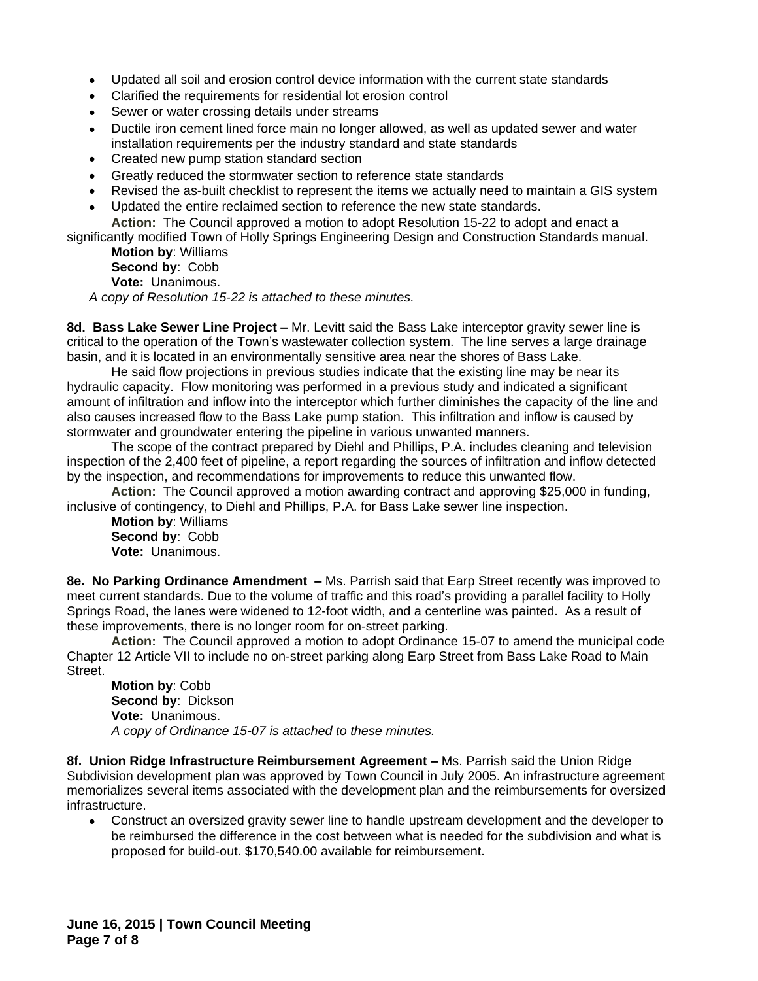- Updated all soil and erosion control device information with the current state standards
- Clarified the requirements for residential lot erosion control
- Sewer or water crossing details under streams
- Ductile iron cement lined force main no longer allowed, as well as updated sewer and water installation requirements per the industry standard and state standards
- Created new pump station standard section
- Greatly reduced the stormwater section to reference state standards
- Revised the as-built checklist to represent the items we actually need to maintain a GIS system
- Updated the entire reclaimed section to reference the new state standards. **Action:** The Council approved a motion to adopt Resolution 15-22 to adopt and enact a

significantly modified Town of Holly Springs Engineering Design and Construction Standards manual. **Motion by**: Williams

**Second by**: Cobb

**Vote:** Unanimous.

*A copy of Resolution 15-22 is attached to these minutes.*

**8d. Bass Lake Sewer Line Project –** Mr. Levitt said the Bass Lake interceptor gravity sewer line is critical to the operation of the Town's wastewater collection system. The line serves a large drainage basin, and it is located in an environmentally sensitive area near the shores of Bass Lake.

He said flow projections in previous studies indicate that the existing line may be near its hydraulic capacity. Flow monitoring was performed in a previous study and indicated a significant amount of infiltration and inflow into the interceptor which further diminishes the capacity of the line and also causes increased flow to the Bass Lake pump station. This infiltration and inflow is caused by stormwater and groundwater entering the pipeline in various unwanted manners.

The scope of the contract prepared by Diehl and Phillips, P.A. includes cleaning and television inspection of the 2,400 feet of pipeline, a report regarding the sources of infiltration and inflow detected by the inspection, and recommendations for improvements to reduce this unwanted flow.

**Action:** The Council approved a motion awarding contract and approving \$25,000 in funding, inclusive of contingency, to Diehl and Phillips, P.A. for Bass Lake sewer line inspection.

**Motion by**: Williams **Second by**: Cobb **Vote:** Unanimous.

**8e. No Parking Ordinance Amendment –** Ms. Parrish said that Earp Street recently was improved to meet current standards. Due to the volume of traffic and this road's providing a parallel facility to Holly Springs Road, the lanes were widened to 12-foot width, and a centerline was painted. As a result of these improvements, there is no longer room for on-street parking.

**Action:** The Council approved a motion to adopt Ordinance 15-07 to amend the municipal code Chapter 12 Article VII to include no on-street parking along Earp Street from Bass Lake Road to Main Street.

**Motion by**: Cobb **Second by**: Dickson **Vote:** Unanimous. *A copy of Ordinance 15-07 is attached to these minutes.*

**8f. Union Ridge Infrastructure Reimbursement Agreement –** Ms. Parrish said the Union Ridge Subdivision development plan was approved by Town Council in July 2005. An infrastructure agreement memorializes several items associated with the development plan and the reimbursements for oversized infrastructure.

 Construct an oversized gravity sewer line to handle upstream development and the developer to be reimbursed the difference in the cost between what is needed for the subdivision and what is proposed for build-out. \$170,540.00 available for reimbursement.